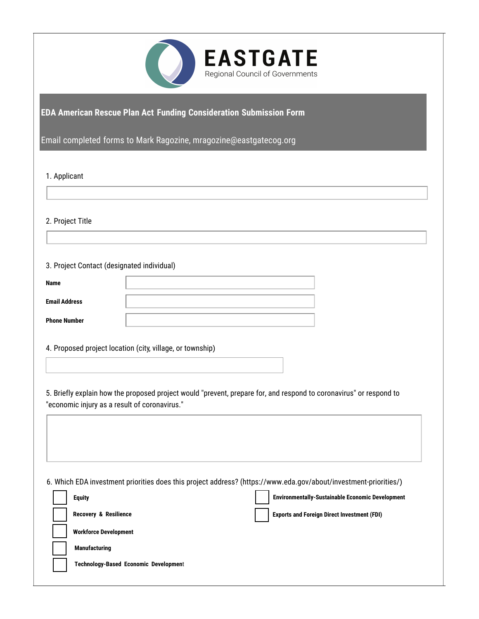

## **EDA American Rescue Plan Act Funding Consideration Submission Form**

Email completed forms to Mark Ragozine, [mragozine@eastgatecog.org](mailto:burduej@swmpc.org)

1. Applicant

2. Project Title

3. Project Contact (designated individual)

4. Proposed project location (city, village, or township)

5. Briefly explain how the proposed project would "prevent, prepare for, and respond to coronavirus" or respond to "economic injury as a result of coronavirus."

6. Which EDA investment priorities does this project address? [\(https://www.eda.gov/about/investment-priorities/](https://www.eda.gov/about/investment-priorities/))

| <b>Equity</b>                                | <b>Environmentally-Sustainable Economic Development</b> |
|----------------------------------------------|---------------------------------------------------------|
| <b>Recovery &amp; Resilience</b>             | <b>Exports and Foreign Direct Investment (FDI)</b>      |
| <b>Workforce Development</b>                 |                                                         |
| <b>Manufacturing</b>                         |                                                         |
| <b>Technology-Based Economic Development</b> |                                                         |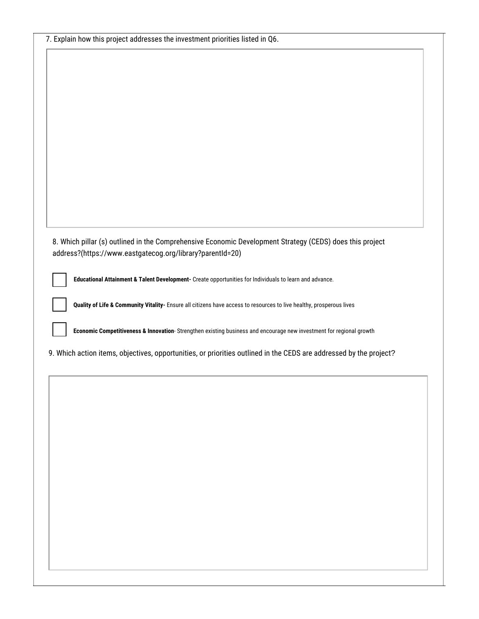| 7. Explain how this project addresses the investment priorities listed in Q6.                                        |
|----------------------------------------------------------------------------------------------------------------------|
|                                                                                                                      |
|                                                                                                                      |
|                                                                                                                      |
|                                                                                                                      |
|                                                                                                                      |
|                                                                                                                      |
|                                                                                                                      |
|                                                                                                                      |
|                                                                                                                      |
|                                                                                                                      |
|                                                                                                                      |
|                                                                                                                      |
|                                                                                                                      |
| 8. Which pillar (s) outlined in the Comprehensive Economic Development Strategy (CEDS) does this project             |
| address?(https://www.eastgatecog.org/library?parentId=20)                                                            |
| Educational Attainment & Talent Development- Create opportunities for Individuals to learn and advance.              |
|                                                                                                                      |
| Quality of Life & Community Vitality- Ensure all citizens have access to resources to live healthy, prosperous lives |
|                                                                                                                      |
| Economic Competitiveness & Innovation-Strengthen existing business and encourage new investment for regional growth  |
| 9. Which action items, objectives, opportunities, or priorities outlined in the CEDS are addressed by the project?   |
|                                                                                                                      |
|                                                                                                                      |
|                                                                                                                      |
|                                                                                                                      |
|                                                                                                                      |
|                                                                                                                      |
|                                                                                                                      |
|                                                                                                                      |
|                                                                                                                      |
|                                                                                                                      |
|                                                                                                                      |
|                                                                                                                      |
|                                                                                                                      |
|                                                                                                                      |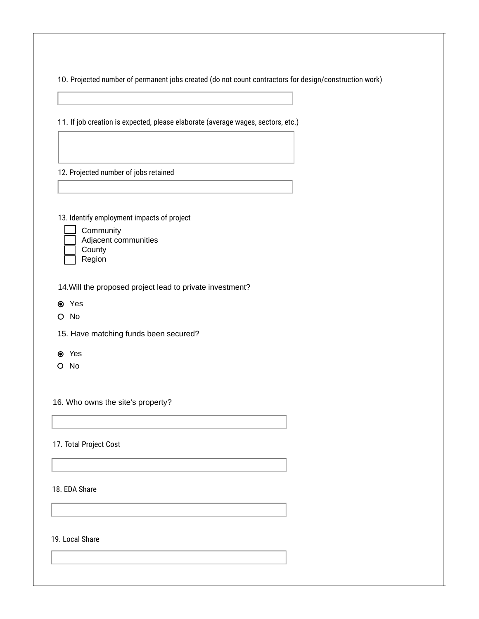10. Projected number of permanent jobs created (do not count contractors for design/construction work)

11. If job creation is expected, please elaborate (average wages, sectors, etc.)

12. Projected number of jobs retained

13. Identify employment impacts of project



**County** Region

14.Will the proposed project lead to private investment?

- Yes
- O No

15. Have matching funds been secured?

- Yes
- O No

16. Who owns the site's property?

## 17. Total Project Cost

18. EDA Share

19. Local Share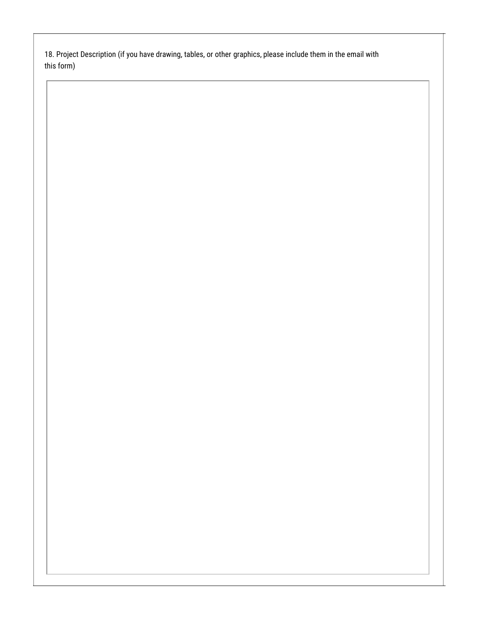18. Project Description (if you have drawing, tables, or other graphics, please include them in the email with this form)